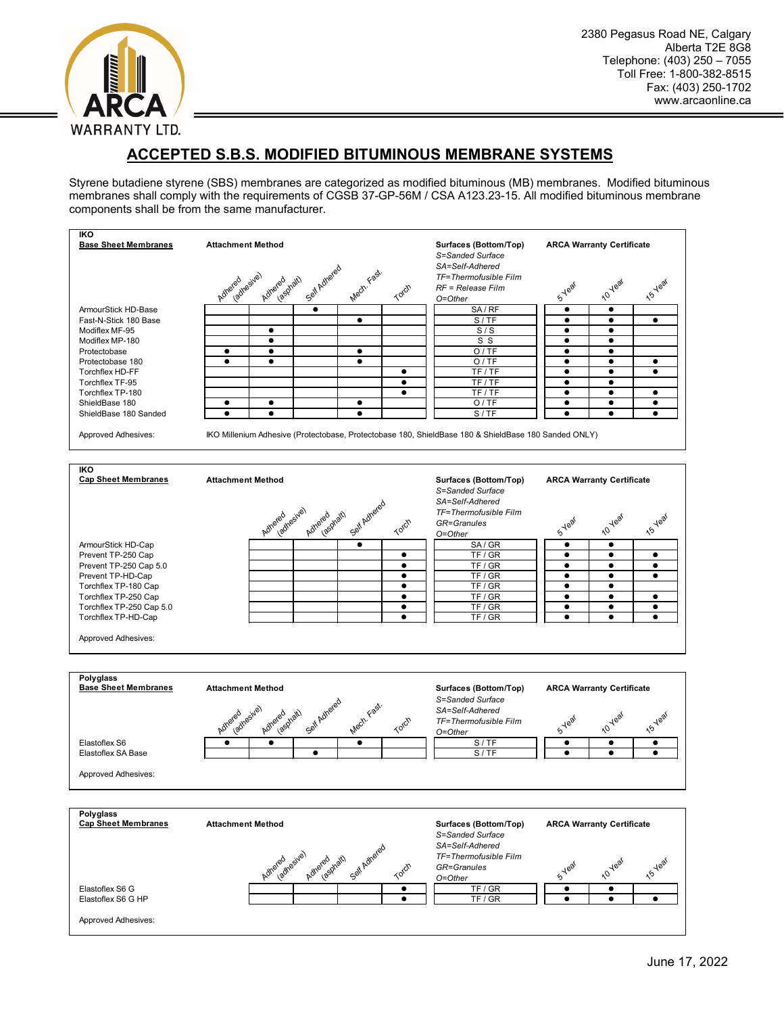

## **ACCEPTED S.B.S. MODIFIED BITUMINOUS MEMBRANE SYSTEMS**

Styrene butadiene styrene (SBS) membranes are categorized as modified bituminous (MB) membranes. Modified bituminous membranes shall comply with the requirements of CGSB 37-GP-56M / CSA A123.23-15. All modified bituminous membrane components shall be from the same manufacturer.

| <b>IKO</b><br><b>Base Sheet Membranes</b> | <b>Attachment Method</b>                                                                             | Surfaces (Bottom/Top)<br>S=Sanded Surface<br>SA=Self-Adhered                                                  | <b>ARCA Warranty Certificate</b>                                        |
|-------------------------------------------|------------------------------------------------------------------------------------------------------|---------------------------------------------------------------------------------------------------------------|-------------------------------------------------------------------------|
|                                           | Self Adhered<br>Mech. Fast.<br>Adreied resive)<br>individual<br>Adhered                              | TF=Thermofusible Film<br>Torch<br>RF = Release Film<br>O=Other                                                | <b>15 Year</b><br>10 Year<br><b>S-Year</b>                              |
| ArmourStick HD-Base                       | $\bullet$                                                                                            | SA/RF                                                                                                         | ٠<br>٠                                                                  |
| Fast-N-Stick 180 Base                     | $\bullet$                                                                                            | S/TF                                                                                                          | $\bullet$<br>$\bullet$<br>$\bullet$                                     |
| Modiflex MF-95                            | $\bullet$                                                                                            | S/S                                                                                                           | $\bullet$<br>$\bullet$                                                  |
| Modiflex MP-180                           | $\bullet$                                                                                            | S S                                                                                                           | $\bullet$<br>$\bullet$                                                  |
| Protectobase                              | $\bullet$<br>$\bullet$<br>$\bullet$                                                                  | O/TE                                                                                                          | $\bullet$<br>$\bullet$                                                  |
| Protectobase 180                          | $\bullet$<br>$\bullet$<br>٠                                                                          | O/TE                                                                                                          | ٠<br>٠<br>٠                                                             |
| Torchflex HD-FF                           |                                                                                                      | TF/TF<br>$\bullet$                                                                                            | $\bullet$<br>$\bullet$<br>$\bullet$                                     |
| Torchflex TF-95                           |                                                                                                      | TF/TF<br>٠                                                                                                    | $\bullet$<br>٠                                                          |
| Torchflex TP-180                          |                                                                                                      | TF/TF<br>٠                                                                                                    | $\bullet$<br>$\bullet$<br>$\bullet$                                     |
| ShieldBase 180                            | $\bullet$<br>$\bullet$<br>٠                                                                          | O/TE                                                                                                          | $\bullet$<br>$\bullet$<br>$\bullet$                                     |
| ShieldBase 180 Sanded                     | $\bullet$<br>$\bullet$<br>$\bullet$                                                                  | S/TF                                                                                                          | $\bullet$<br>٠<br>٠                                                     |
| Approved Adhesives:                       | IKO Millenium Adhesive (Protectobase, Protectobase 180, ShieldBase 180 & ShieldBase 180 Sanded ONLY) |                                                                                                               |                                                                         |
| <b>IKO</b><br><b>Cap Sheet Membranes</b>  | <b>Attachment Method</b>                                                                             | Surfaces (Bottom/Top)<br>S=Sanded Surface<br>SA=Self-Adhered<br>TF=Thermofusible Film                         | <b>ARCA Warranty Certificate</b>                                        |
|                                           | Self Adhered<br>Adhered nesive)<br>Adrered pratt)                                                    | Torch<br>GR=Granules<br>O=Other                                                                               | 10 Year<br><b>15-Year</b><br><b>S</b> Year                              |
| ArmourStick HD-Cap                        | $\bullet$                                                                                            | SA/GR                                                                                                         | $\bullet$<br>$\bullet$                                                  |
| Prevent TP-250 Cap                        |                                                                                                      | TF/GR<br>٠                                                                                                    | $\bullet$<br>٠<br>٠                                                     |
| Prevent TP-250 Cap 5.0                    |                                                                                                      | TF/GR<br>٠                                                                                                    | ٠<br>٠<br>٠                                                             |
| Prevent TP-HD-Cap                         |                                                                                                      | TF/GR<br>$\bullet$                                                                                            | $\bullet$<br>$\bullet$<br>$\bullet$                                     |
| Torchflex TP-180 Cap                      |                                                                                                      | TF/GR<br>٠                                                                                                    | ٠<br>٠                                                                  |
| Torchflex TP-250 Cap                      |                                                                                                      | TF/GR<br>$\bullet$                                                                                            | $\bullet$<br>$\bullet$<br>$\bullet$                                     |
| Torchflex TP-250 Cap 5.0                  |                                                                                                      | TF/GR<br>$\bullet$                                                                                            | $\bullet$<br>$\bullet$<br>$\bullet$                                     |
| Torchflex TP-HD-Cap                       |                                                                                                      | TF / GR<br>$\bullet$                                                                                          | $\bullet$<br>$\bullet$<br>٠                                             |
| <b>Approved Adhesives:</b>                |                                                                                                      |                                                                                                               |                                                                         |
| Polyglass<br><b>Base Sheet Membranes</b>  | <b>Attachment Method</b><br>Self Adhered<br>Mech. Fast.<br>Adhered vesive)<br>Adriend Spell          | Surfaces (Bottom/Top)<br>S=Sanded Surface<br>SA=Self-Adhered                                                  | <b>ARCA Warranty Certificate</b>                                        |
|                                           |                                                                                                      | Torch<br>TF=Thermofusible Film<br>O=Other                                                                     | <b>15-Year</b><br>10 Year<br><b>S</b> Year                              |
| Elastoflex S6                             | $\bullet$                                                                                            | S/TF                                                                                                          | $\bullet$<br>$\bullet$<br>$\bullet$                                     |
| Elastoflex SA Base                        | $\bullet$                                                                                            | S/TF                                                                                                          | $\bullet$<br>$\bullet$<br>$\bullet$                                     |
| Approved Adhesives:                       |                                                                                                      |                                                                                                               |                                                                         |
| Polyglass                                 |                                                                                                      |                                                                                                               |                                                                         |
| <b>Cap Sheet Membranes</b>                | <b>Attachment Method</b><br>Self Adhered<br>Adreadresive)<br>Adriended phath                         | Surfaces (Bottom/Top)<br>S=Sanded Surface<br>SA=Self-Adhered<br>TF=Thermofusible Film<br>GR=Granules<br>Torch | <b>ARCA Warranty Certificate</b><br>15 Year<br>10 Year<br><b>S</b> Year |
|                                           |                                                                                                      | O=Other                                                                                                       |                                                                         |
| Elastoflex S6 G<br>Elastoflex S6 G HP     |                                                                                                      | TF/GR<br>٠<br>TF/GR<br>$\bullet$                                                                              | $\bullet$<br>٠<br>$\bullet$<br>$\bullet$<br>$\bullet$                   |
| Approved Adhesives:                       |                                                                                                      |                                                                                                               |                                                                         |